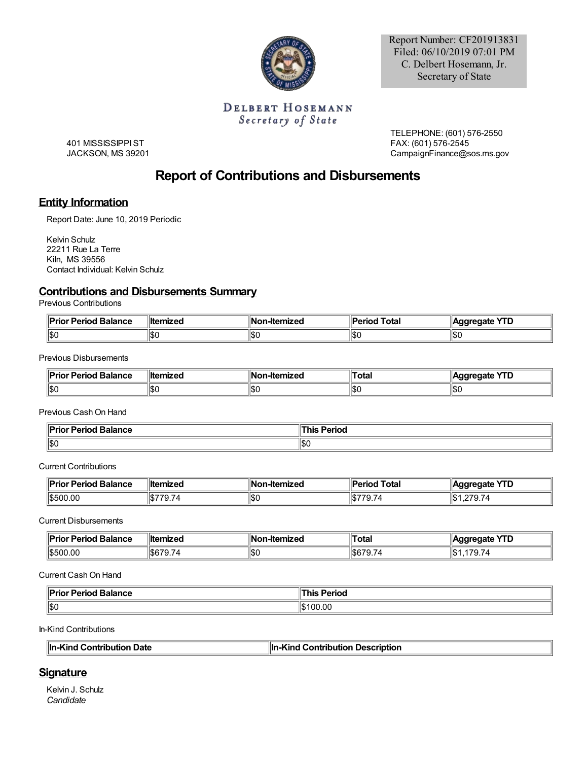

Report Number: CF201913831 Filed: 06/10/2019 07:01 PM C. Delbert Hosemann, Jr. Secretary of State

### **DELBERT HOSEMANN** Secretary of State

401 MISSISSIPPIST JACKSON, MS 39201 TELEPHONE: (601) 576-2550 FAX: (601) 576-2545 CampaignFinance@sos.ms.gov

# **Report of Contributions and Disbursements**

## **Entity Information**

Report Date: June 10, 2019 Periodic

Kelvin Schulz 22211 Rue La Terre Kiln, MS 39556 Contact Individual: Kelvin Schulz

## **Contributions and Disbursements Summary**

Previous Contributions

| <b>Prior Period Balance</b> | ⊪ltemized   | ∥Non-Itemized | Period<br>∵Total | cate :<br>טוז<br>-- |
|-----------------------------|-------------|---------------|------------------|---------------------|
| ∥\$0                        | ا (10<br>⊪л | 11\$C         | ISO              | IЖ                  |

Previous Disbursements

| ïв.<br>-----<br>ılanec<br>ш. | llt<br>---- | <br>.cu | Total<br>. | ю<br>ட |
|------------------------------|-------------|---------|------------|--------|
| $\parallel$ \$0              | m c<br>ا⊅ر  | 11SC    | յու        | \$C    |

Previous CashOn Hand

| . .<br>11 m.e<br>. Dalamac<br>alance | $-$<br>enoc |
|--------------------------------------|-------------|
| ∥\$0                                 | າຈເ         |

#### Current Contributions

| <sup>ll</sup> Prio.<br><b>Balance</b><br>$ -$<br>Period | <b>∥temized</b> | lNo<br>-Itemized<br>- -- | Total<br>⊪<br>.                                         | YTD<br>orne  |
|---------------------------------------------------------|-----------------|--------------------------|---------------------------------------------------------|--------------|
| 1\$500.00                                               | 74              | 1\$C                     | -- -<br>⊪cr<br>7ር,<br>$\prime$ / $\prime$<br>הוו<br>. ت | ∥\$<br>270.7 |

Current Disbursements

| $\blacksquare$ Prior<br><b>Period Balance</b> | ⊪ltemized  | mized<br>πе | <b>Total</b> | vTn<br>edate.<br>ш<br>-- |
|-----------------------------------------------|------------|-------------|--------------|--------------------------|
| 1\$500.00                                     | ' L<br>. . | 11\$C       | სახ<br>. ت   | ۱\$∶                     |

Current CashOn Hand

| <sub>⊶ ⊔</sub> or Period Balance | Period<br>ш |
|----------------------------------|-------------|
| $\parallel$ \$0                  | .00         |

In-Kind Contributions

| In-Kind Contribution Date | In-Kind Contribution Description |
|---------------------------|----------------------------------|
|---------------------------|----------------------------------|

### **Signature**

Kelvin J. Schulz *Candidate*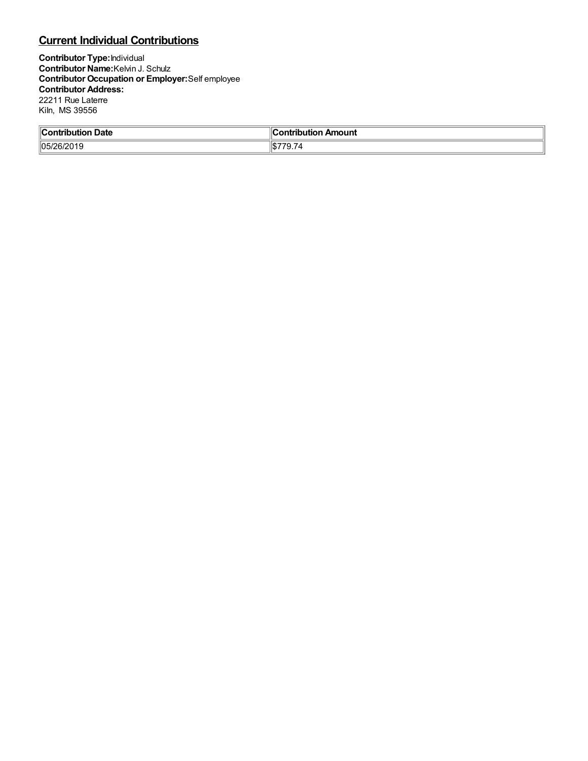# **Current Individual Contributions**

**Contributor Type:**Individual **Contributor Name:**Kelvin J. Schulz **Contributor Occupation or Employer:**Self employee **Contributor Address:** 22211 Rue Laterre Kiln, MS 39556

| ⊪∩   | <b>NUMBER</b> |
|------|---------------|
| Jate | nouni         |
| .    |               |
| 105/ | юU            |